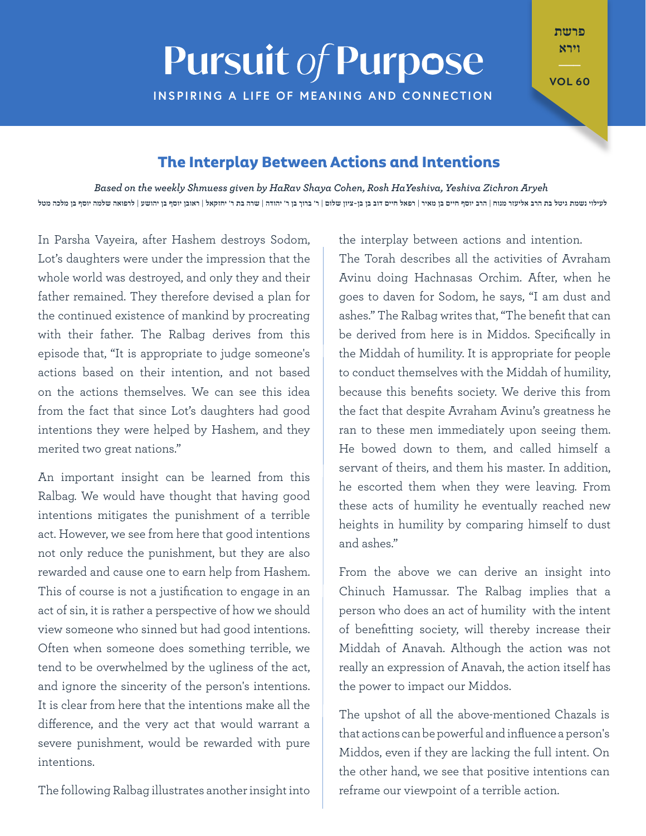## **Pursuit of Purpose**

**INSPIRING A LIFE OF MEANING AND CONNECTION** 

**VOL 60** 

פרשת וירא

## **The Interplay Between Actions and Intentions**

*Aryeh Disaged on the weekly Shmuess given by HaRav Shaya Cohen, Rosh HaYeshiva, Yeshiva Zichron Aryeh* לעילוי נשמת גיטל בת הרב אליעזר מנוח | הרב יוסף חיים בן מאיר | רפאל חיים דוב בן בן-ציון שלום | ר' ברוך בן ר' יהודה | שרה בת ר' יחזקאל | ראובן יוסף בן יהושע | לרפואה שלמה יוסף בן מלכה מטל

In Parsha Vayeira, after Hashem destroys Sodom, Lot's daughters were under the impression that the whole world was destroyed, and only they and their father remained. They therefore devised a plan for the continued existence of mankind by procreating with their father. The Ralbag derives from this episode that, "It is appropriate to judge someone's actions based on their intention, and not based on the actions themselves. We can see this idea from the fact that since Lot's daughters had good intentions they were helped by Hashem, and they merited two great nations."

An important insight can be learned from this Ralbag. We would have thought that having good intentions mitigates the punishment of a terrible act. However, we see from here that good intentions not only reduce the punishment, but they are also rewarded and cause one to earn help from Hashem. This of course is not a justification to engage in an act of sin, it is rather a perspective of how we should view someone who sinned but had good intentions. Often when someone does something terrible, we tend to be overwhelmed by the ugliness of the act, and ignore the sincerity of the person's intentions. It is clear from here that the intentions make all the difference, and the very act that would warrant a severe punishment, would be rewarded with pure .intentions

The following Ralbag illustrates another insight into

the interplay between actions and intention.

The Torah describes all the activities of Avraham Avinu doing Hachnasas Orchim. After, when he goes to daven for Sodom, he says, "I am dust and ashes." The Ralbag writes that, "The benefit that can be derived from here is in Middos. Specifically in the Middah of humility. It is appropriate for people to conduct themselves with the Middah of humility. because this benefits society. We derive this from the fact that despite Avraham Avinu's greatness he ran to these men immediately upon seeing them. He bowed down to them, and called himself a servant of theirs, and them his master. In addition, he escorted them when they were leaving. From these acts of humility he eventually reached new heights in humility by comparing himself to dust and ashes."

From the above we can derive an insight into Chinuch Hamussar. The Ralbag implies that a person who does an act of humility with the intent of benefitting society, will thereby increase their Middah of Anavah. Although the action was not really an expression of Anavah, the action itself has the power to impact our Middos.

The upshot of all the above-mentioned Chazals is that actions can be powerful and influence a person's Middos, even if they are lacking the full intent. On the other hand, we see that positive intentions can reframe our viewpoint of a terrible action.